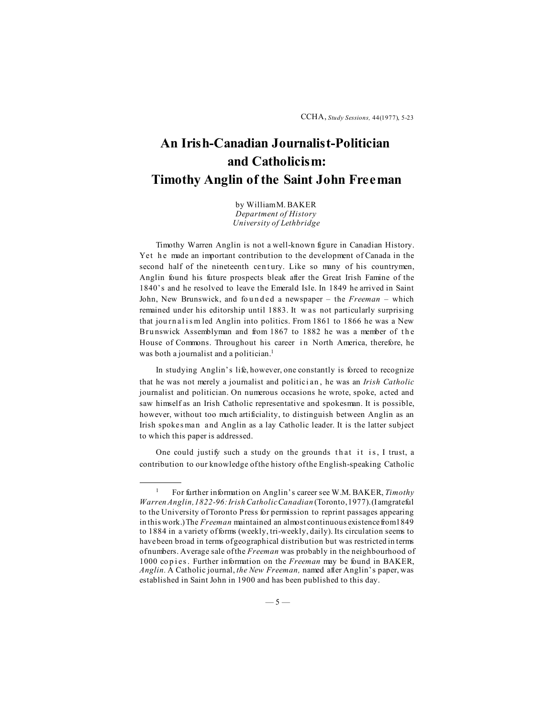## **An Irish-Canadian Journalist-Politician and Catholicism: Timothy Anglin of the Saint John Freeman**

by William M. BAKER *Department of History University of Lethbridge*

Timothy Warren Anglin is not a well-known figure in Canadian History. Yet he made an important contribution to the development of Canada in the second half of the nineteenth century. Like so many of his countrymen, Anglin found his future prospects bleak after the Great Irish Famine of the 1840's and he resolved to leave the Emerald Isle. In 1849 he arrived in Saint John, New Brunswick, and founded a newspaper – the *Freeman* – which remained under his editorship until 1883. It w as not particularly surprising that journalism led Anglin into politics. From 1861 to 1866 he was a New Bru nswick Assemblyman and from 1867 to 1882 he was a member of the House of Commons. Throughout his career in North America, therefore, he was both a journalist and a politician.<sup>1</sup>

In studying Anglin's life, however, one constantly is forced to recognize that he was not merely a journalist and politici an , he was an *Irish Catholic* journalist and politician. On numerous occasions he wrote, spoke, acted and saw himself as an Irish Catholic representative and spokesman. It is possible, however, without too much artificiality, to distinguish between Anglin as an Irish spokes man and Anglin as a lay Catholic leader. It is the latter subject to which this paper is addressed.

One could justify such a study on the grounds that it is, I trust, a contribution to our knowledge of the history of the English-speaking Catholic

<sup>1</sup> For further information on Anglin's career see W.M. BAKER, *Timothy Warren Anglin, 1822-96: Irish Catholic Canadian* (Toronto, 1977). (I am grateful to the University of Toronto Press for permission to reprint passages appearing in this work.) The *Freeman* maintained an almost continuous existence from 1849 to 1884 in a variety of forms (weekly, tri-weekly, daily). Its circulation seems to have been broad in terms of geographical distribution but was restricted in terms of numbers. Average sale of the *Freeman* was probably in the neighbourhood of 1000 co p i es . Further information on the *Freeman* may be found in BAKER, *Anglin.* A Catholic journal, *the New Freeman,* named after Anglin's paper, was established in Saint John in 1900 and has been published to this day.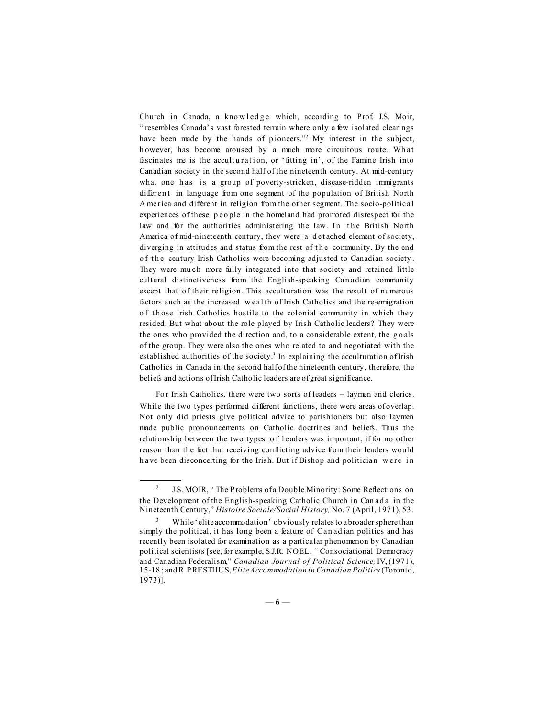Church in Canada, a knowledge which, according to Prof. J.S. Moir, " resembles Canada's vast forested terrain where only a few isolated clearings have been made by the hands of pioneers."<sup>2</sup> My interest in the subject, h owever, has become aroused by a much more circuitous route. Wh at fascinates me is the acculturation, or 'fitting in', of the Famine Irish into Canadian society in the second half of the nineteenth century. At mid-century what one has is a group of poverty-stricken, disease-ridden immigrants different in language from one segment of the population of British North A merica and different in religion from the other segment. The socio-political experiences of these p eo ple in the homeland had promoted disrespect for the law and for the authorities administering the law. In the British North America of mid-nineteenth century, they were a d et ached element of society, diverging in attitudes and status from the rest of the community. By the end of the century Irish Catholics were becoming adjusted to Canadian society. They were mu ch more fully integrated into that society and retained little cultural distinctiveness from the English-speaking Can adian community except that of their religion. This acculturation was the result of numerous factors such as the increased w eal th of Irish Catholics and the re-emigration of those Irish Catholics hostile to the colonial community in which they resided. But what about the role played by Irish Catholic leaders? They were the ones who provided the direction and, to a considerable extent, the goals of the group. They were also the ones who related to and negotiated with the established authorities of the society.<sup>3</sup> In explaining the acculturation of Irish Catholics in Canada in the second half of the nineteenth century, therefore, the beliefs and actions of Irish Catholic leaders are of great significance.

For Irish Catholics, there were two sorts of leaders - laymen and clerics. While the two types performed different functions, there were areas of overlap. Not only did priests give political advice to parishioners but also laymen made public pronouncements on Catholic doctrines and beliefs. Thus the relationship between the two types of leaders was important, if for no other reason than the fact that receiving conflicting advice from their leaders would h ave been disconcerting for the Irish. But if Bishop and politician w ere i n

J.S. MOIR, "The Problems of a Double Minority: Some Reflections on the Development of the English-speaking Catholic Church in Canada in the Nineteenth Century," *Histoire Sociale/Social History,* No. 7 (April, 1971), 53.

While 'elite accommodation' obviously relates to a broader sphere than simply the political, it has long been a feature of Canadian politics and has recently been isolated for examination as a particular phenomenon by Canadian political scientists [see, for example, S.J.R. NOEL, " Consociational Democracy and Canadian Federalism," *Canadian Journal of Political Science,* IV, (1971), 15-18 ; and R. PRESTHUS, *Elite Accommodation in Canadian Politics* (Toronto, 1973)].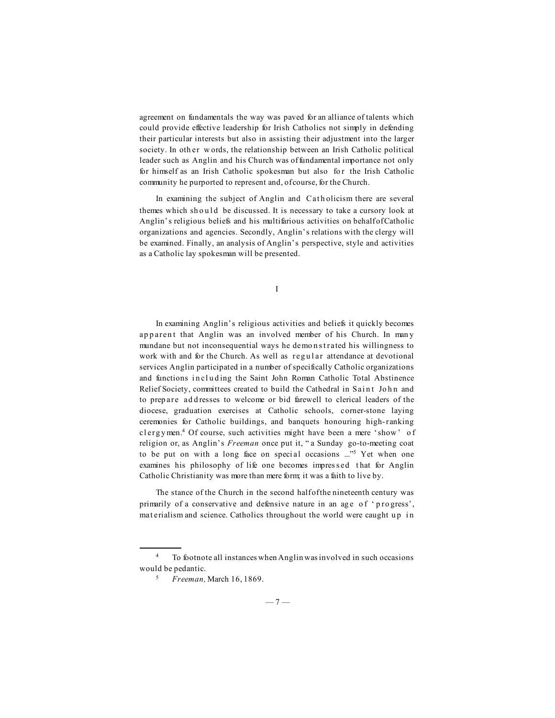agreement on fundamentals the way was paved for an alliance of talents which could provide effective leadership for Irish Catholics not simply in defending their particular interests but also in assisting their adjustment into the larger society. In other words, the relationship between an Irish Catholic political leader such as Anglin and his Church was of fundamental importance not only for himself as an Irish Catholic spokesman but also for the Irish Catholic community he purported to represent and, of course, for the Church.

In examining the subject of Anglin and Catholicism there are several themes which should be discussed. It is necessary to take a cursory look at Anglin's religious beliefs and his multifarious activities on behalf of Catholic organizations and agencies. Secondly, Anglin's relations with the clergy will be examined. Finally, an analysis of Anglin's perspective, style and activities as a Catholic lay spokesman will be presented.

I

In examining Anglin's religious activities and beliefs it quickly becomes apparent that Anglin was an involved member of his Church. In many mundane but not inconsequential ways he demonstrated his willingness to work with and for the Church. As well as regular attendance at devotional services Anglin participated in a number of specifically Catholic organizations and functions in cluding the Saint John Roman Catholic Total Abstinence Relief Society, committees created to build the Cathedral in Saint John and to prep are ad d resses to welcome or bid farewell to clerical leaders of the diocese, graduation exercises at Catholic schools, corner-stone laying ceremonies for Catholic buildings, and banquets honouring high-ranking clergy men.<sup>4</sup> Of course, such activities might have been a mere 'show' of religion or, as Anglin's *Freeman* once put it, " a Sunday go-to-meeting coat to be put on with a long face on special occasions ..."<sup>5</sup> Yet when one examines his philosophy of life one becomes impressed that for Anglin Catholic Christianity was more than mere form; it was a faith to live by.

The stance of the Church in the second half of the nineteenth century was primarily of a conservative and defensive nature in an age of 'progress', mat erialism and science. Catholics throughout the world were caught up in

<sup>4</sup> To footnote all instances when Anglin was involved in such occasions would be pedantic.

<sup>5</sup> *Freeman,* March 16, 1869.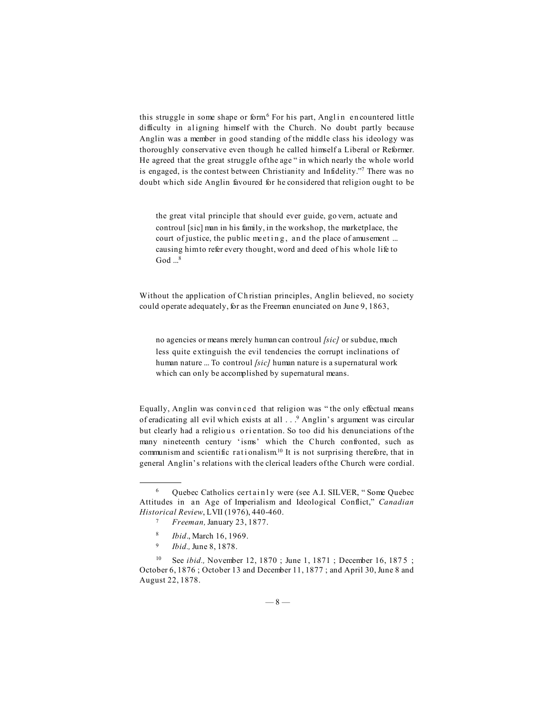this struggle in some shape or form<sup> $6$ </sup> For his part, Angl in encountered little difficulty in aligning himself with the Church. No doubt partly because Anglin was a member in good standing of the middle class his ideology was thoroughly conservative even though he called himself a Liberal or Reformer. He agreed that the great struggle of the age " in which nearly the whole world is engaged, is the contest between Christianity and Infidelity."7 There was no doubt which side Anglin favoured for he considered that religion ought to be

the great vital principle that should ever guide, go vern, actuate and controul [sic] man in his family, in the workshop, the marketplace, the court of justice, the public meeting, and the place of amusement ... causing him to refer every thought, word and deed of his whole life to God  $\mathbb{R}^8$ 

Without the application of Ch ristian principles, Anglin believed, no society could operate adequately, for as the Freeman enunciated on June 9, 1863,

no agencies or means merely human can controul *[sic]* or subdue, much less quite extinguish the evil tendencies the corrupt inclinations of human nature ... To controul *[sic]* human nature is a supernatural work which can only be accomplished by supernatural means.

Equally, Anglin was convi n ced that religion was " the only effectual means of eradicating all evil which exists at all . . .9 Anglin's argument was circular but clearly had a religious orientation. So too did his denunciations of the many nineteenth century 'isms' which the Church confronted, such as communism and scientific rationalism.<sup>10</sup> It is not surprising therefore, that in general Anglin's relations with the clerical leaders of the Church were cordial.

 $6$  Quebec Catholics certainly were (see A.I. SILVER, "Some Quebec Attitudes in an Age of Imperialism and Ideological Conflict," *Canadian Historical Review*, LVII (1976), 440-460.

<sup>7</sup> *Freeman,* January 23, 1877.

<sup>8</sup> *Ibid*., March 16, 1969.

<sup>9</sup> *Ibid.,* June 8, 1878.

<sup>&</sup>lt;sup>10</sup> See *ibid.*, November 12, 1870; June 1, 1871; December 16, 1875; October 6, 1876 ; October 13 and December 11, 1877 ; and April 30, June 8 and August 22, 1878.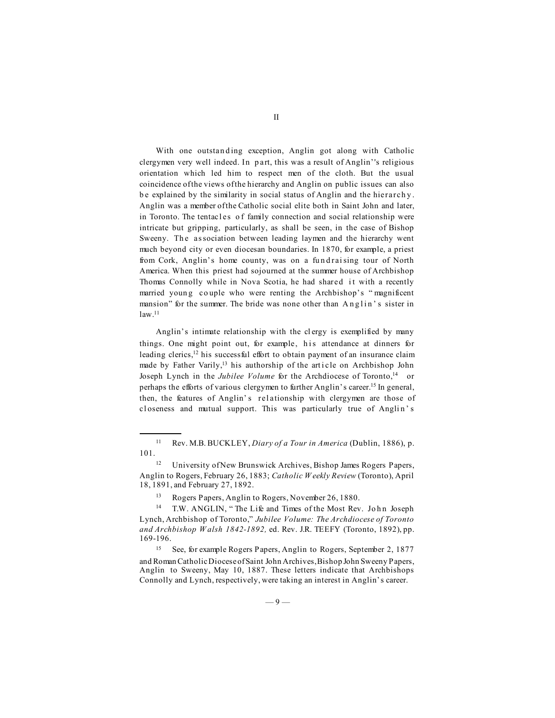With one outstanding exception, Anglin got along with Catholic clergymen very well indeed. In p art, this was a result of Anglin''s religious orientation which led him to respect men of the cloth. But the usual coincidence of the views of the hierarchy and Anglin on public issues can also b e explained by the similarity in social status of Anglin and the hierarch y . Anglin was a member of the Catholic social elite both in Saint John and later, in Toronto. The tentacles of family connection and social relationship were intricate but gripping, particularly, as shall be seen, in the case of Bishop Sweeny. The association between leading laymen and the hierarchy went much beyond city or even diocesan boundaries. In 1870, for example, a priest from Cork, Anglin's home county, was on a fundraising tour of North America. When this priest had sojourned at the summer house of Archbishop Thomas Connolly while in Nova Scotia, he had shared it with a recently married young couple who were renting the Archbishop's "magnificent mansion" for the summer. The bride was none other than Anglin's sister in law.11

Anglin's intimate relationship with the cl ergy is exemplified by many things. One might point out, for example, his attendance at dinners for leading clerics,<sup>12</sup> his successful effort to obtain payment of an insurance claim made by Father Varily,<sup>13</sup> his authorship of the article on Archbishop John Joseph Lynch in the *Jubilee Volume* for the Archdiocese of Toronto,<sup>14</sup> or perhaps the efforts of various clergymen to further Anglin's career.15 In general, then, the features of Anglin' s rel ationship with clergymen are those of cl oseness and mutual support. This was particularly true of Anglin's

<sup>11</sup> Rev. M.B. BUCKLEY, *Diary of a Tour in America* (Dublin, 1886), p. 101.

<sup>&</sup>lt;sup>12</sup> University of New Brunswick Archives, Bishop James Rogers Papers, Anglin to Rogers, February 26, 1883; *Catholic W eekly Review* (Toronto), April 18, 1891, and February 27, 1892.

<sup>13</sup> Rogers Papers, Anglin to Rogers, November 26, 1880.

<sup>&</sup>lt;sup>14</sup> T.W. ANGLIN, "The Life and Times of the Most Rev. John Joseph Lynch, Archbishop of Toronto," *Jubilee Volume: The Archdiocese of Toronto and Archbishop W alsh 1842-1892,* ed. Rev. J.R. TEEFY (Toronto, 1892), pp. 169-196.

<sup>15</sup> See, for example Rogers Papers, Anglin to Rogers, September 2, 1877 and Roman Catholic Diocese of Saint John Archives, Bishop John Sweeny Papers, Anglin to Sweeny, May 10, 1887. These letters indicate that Archbishops Connolly and Lynch, respectively, were taking an interest in Anglin's career.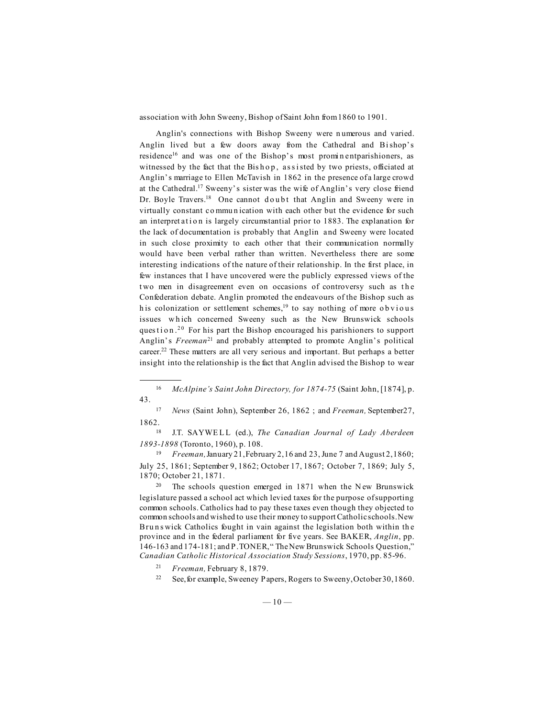association with John Sweeny, Bishop of Saint John from 1860 to 1901.

Anglin's connections with Bishop Sweeny were n umerous and varied. Anglin lived but a few doors away from the Cathedral and Bishop's residence<sup>16</sup> and was one of the Bishop's most prominent parishioners, as witnessed by the fact that the Bishop, assisted by two priests, officiated at Anglin's marriage to Ellen McTavish in 1862 in the presence of a large crowd at the Cathedral.17 Sweeny's sister was the wife of Anglin's very close friend Dr. Boyle Travers.<sup>18</sup> One cannot doubt that Anglin and Sweeny were in virtually constant co mmu n ication with each other but the evidence for such an interpret at i on is largely circumstantial prior to 1883. The explanation for the lack of documentation is probably that Anglin and Sweeny were located in such close proximity to each other that their communication normally would have been verbal rather than written. Nevertheless there are some interesting indications of the nature of their relationship. In the first place, in few instances that I have uncovered were the publicly expressed views of the two men in disagreement even on occasions of controversy such as the Confederation debate. Anglin promoted the endeavours of the Bishop such as h is colonization or settlement schemes, $19$  to say nothing of more obvious issues which concerned Sweeny such as the New Brunswick schools question.<sup>20</sup> For his part the Bishop encouraged his parishioners to support Anglin's *Freeman*<sup>21</sup> and probably attempted to promote Anglin's political career.22 These matters are all very serious and important. But perhaps a better insight into the relationship is the fact that Anglin advised the Bishop to wear

<sup>16</sup> *McAlpine's Saint John Directory, for 1874-75* (Saint John, [1874], p. 43.

<sup>17</sup> *News* (Saint John), September 26, 1862 ; and *Freeman,* September27, 1862.

18 J.T. SAYWELL (ed.), *The Canadian Journal of Lady Aberdeen 1893-1898* (Toronto, 1960), p. 108.

<sup>19</sup> *Freeman,* January 21, February 2, 16 and 23, June 7 and August 2, 1860; July 25, 1861; September 9, 1862; October 17, 1867; October 7, 1869; July 5, 1870; October 21, 1871.

<sup>20</sup> The schools question emerged in 1871 when the New Brunswick legislature passed a school act which levied taxes for the purpose of supporting common schools. Catholics had to pay these taxes even though they objected to common schools and wished to use their money to support Catholic schools. New Bru n s wick Catholics fought in vain against the legislation both within the province and in the federal parliament for five years. See BAKER, *Anglin*, pp. 146-163 and 174-181; and P. TONER, " The New Brunswick Schools Question," *Canadian Catholic Historical Association Study Sessions*, 1970, pp. 85-96.

<sup>21</sup> *Freeman,* February 8, 1879.

<sup>22</sup> See, for example, Sweeney Papers, Rogers to Sweeny, October 30, 1860.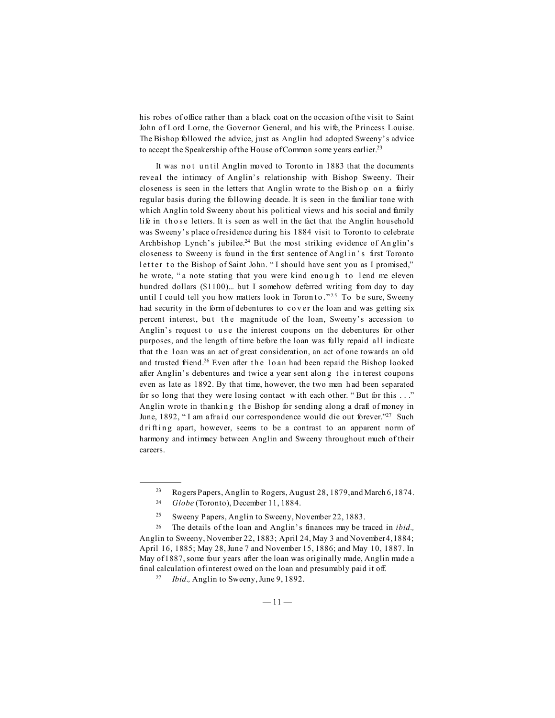his robes of office rather than a black coat on the occasion of the visit to Saint John of Lord Lorne, the Governor General, and his wife, the Princess Louise. The Bishop followed the advice, just as Anglin had adopted Sweeny's advice to accept the Speakership of the House of Common some years earlier.<sup>23</sup>

It was not until Anglin moved to Toronto in 1883 that the documents reveal the intimacy of Anglin's relationship with Bishop Sweeny. Their closeness is seen in the letters that Anglin wrote to the Bish op on a fairly regular basis during the following decade. It is seen in the familiar tone with which Anglin told Sweeny about his political views and his social and family life in those letters. It is seen as well in the fact that the Anglin household was Sweeny's place of residence during his 1884 visit to Toronto to celebrate Archbishop Lynch's jubilee.<sup>24</sup> But the most striking evidence of Anglin's closeness to Sweeny is found in the first sentence of Anglin's first Toronto letter to the Bishop of Saint John. "I should have sent you as I promised," he wrote, "a note stating that you were kind enough to lend me eleven hundred dollars (\$1100)... but I somehow deferred writing from day to day until I could tell you how matters look in Toron to  $.^{225}$  To be sure, Sweeny had security in the form of debentures to cover the loan and was getting six percent interest, but the magnitude of the loan, Sweeny's accession to Anglin's request to use the interest coupons on the debentures for other purposes, and the length of time before the loan was fully repaid all indicate that th e l oan was an act of great consideration, an act of one towards an old and trusted friend.<sup>26</sup> Even after the loan had been repaid the Bishop looked after Anglin's debentures and twice a year sent along the interest coupons even as late as 1892. By that time, however, the two men h ad been separated for so long that they were losing contact w ith each other. " But for this . . ." Anglin wrote in thanking the Bishop for sending along a draft of money in June, 1892, "I am afraid our correspondence would die out forever."<sup>27</sup> Such drifting apart, however, seems to be a contrast to an apparent norm of harmony and intimacy between Anglin and Sweeny throughout much of their careers.

<sup>23</sup> Rogers Papers, Anglin to Rogers, August 28, 1879, and March 6, 1874.

<sup>24</sup> *Globe* (Toronto), December 11, 1884.

<sup>&</sup>lt;sup>25</sup> Sweeny Papers, Anglin to Sweeny, November 22, 1883.

<sup>26</sup> The details of the loan and Anglin's finances may be traced in *ibid.,* Anglin to Sweeny, November 22, 1883; April 24, May 3 and November 4, 1884; April 16, 1885; May 28, June 7 and November 15, 1886; and May 10, 1887. In May of 1887, some four years after the loan was originally made, Anglin made a final calculation of interest owed on the loan and presumably paid it off.

<sup>27</sup> *Ibid.,* Anglin to Sweeny, June 9, 1892.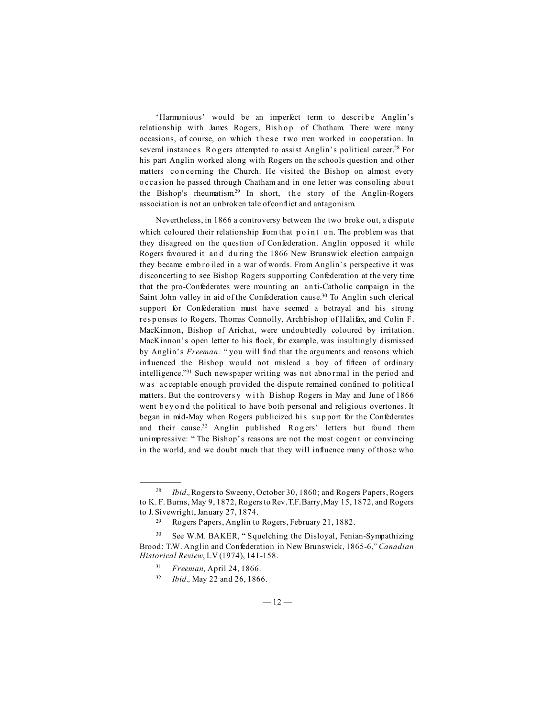'Harmonious' would be an imperfect term to describe Anglin's relationship with James Rogers, Bishop of Chatham. There were many occasions, of course, on which these two men worked in cooperation. In several instances Rogers attempted to assist Anglin's political career.<sup>28</sup> For his part Anglin worked along with Rogers on the schools question and other matters concerning the Church. He visited the Bishop on almost every o ccasion he passed through Chatham and in one letter was consoling abou t the Bishop's rheumatism.<sup>29</sup> In short, the story of the Anglin-Rogers association is not an unbroken tale of conflict and antagonism.

Nevertheless, in 1866 a controversy between the two broke out, a dispute which coloured their relationship from that point on. The problem was that they disagreed on the question of Confederation. Anglin opposed it while Rogers favoured it and during the 1866 New Brunswick election campaign they became emb ro iled in a war of words. From Anglin's perspective it was disconcerting to see Bishop Rogers supporting Confederation at the very time that the pro-Confederates were mounting an an ti-Catholic campaign in the Saint John valley in aid of the Confederation cause.<sup>30</sup> To Anglin such clerical support for Confederation must have seemed a betrayal and his strong res p onses to Rogers, Thomas Connolly, Archbishop of Halifax, and Colin F. MacKinnon, Bishop of Arichat, were undoubtedly coloured by irritation. MacKinnon's open letter to his flock, for example, was insultingly dismissed by Anglin's *Freeman:* " you will find that t he arguments and reasons which influenced the Bishop would not mislead a boy of fifteen of ordinary intelligence."31 Such newspaper writing was not abno rmal in the period and w as acceptable enough provided the dispute remained confined to political matters. But the controversy with Bishop Rogers in May and June of 1866 went b ey ond the political to have both personal and religious overtones. It began in mid-May when Rogers publicized his support for the Confederates and their cause.<sup>32</sup> Anglin published Rogers' letters but found them unimpressive: "The Bishop's reasons are not the most cogent or convincing in the world, and we doubt much that they will influence many of those who

<sup>28</sup> *Ibid.,* Rogers to Sweeny, October 30, 1860; and Rogers Papers, Rogers to K. F. Burns, May 9, 1872, Rogers to Rev. T.F. Barry, May 15, 1872, and Rogers to J. Sivewright, January 27, 1874.

<sup>29</sup> Rogers Papers, Anglin to Rogers, February 21, 1882.

<sup>30</sup> See W.M. BAKER, " Squelching the Disloyal, Fenian-Sympathizing Brood: T.W. Anglin and Confederation in New Brunswick, 1865-6," *Canadian Historical Review*, LV (1974), 141-158.

<sup>31</sup> *Freeman,* April 24, 1866.

<sup>32</sup> *Ibid.,* May 22 and 26, 1866.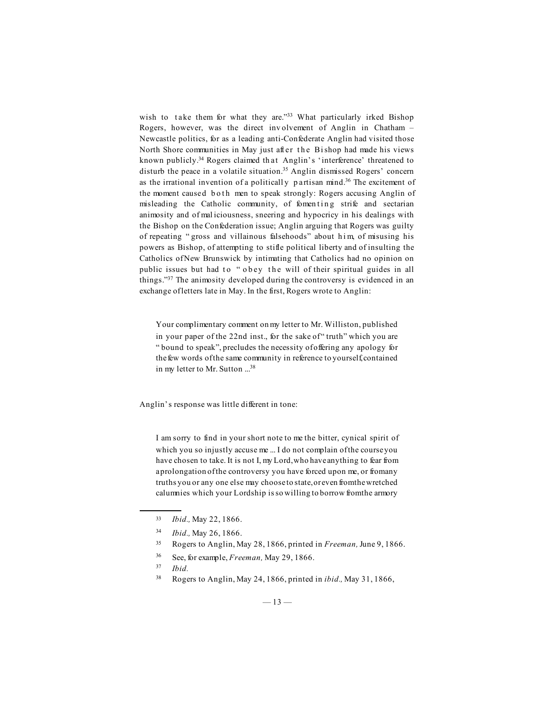wish to take them for what they are."<sup>33</sup> What particularly irked Bishop Rogers, however, was the direct inv olvement of Anglin in Chatham – Newcastle politics, for as a leading anti-Confederate Anglin had visited those North Shore communities in May just after the Bishop had made his views known publicly.34 Rogers claimed th at Anglin's 'interference' threatened to disturb the peace in a volatile situation.<sup>35</sup> Anglin dismissed Rogers' concern as the irrational invention of a politicall y p artisan mind.36 The excitement of the moment caused both men to speak strongly: Rogers accusing Anglin of misleading the Catholic community, of fomenting strife and sectarian animosity and of mal iciousness, sneering and hypocricy in his dealings with the Bishop on the Confederation issue; Anglin arguing that Rogers was guilty of repeating " gross and villainous falsehoods" about him, of misusing his powers as Bishop, of attempting to stifle political liberty and of insulting the Catholics of New Brunswick by intimating that Catholics had no opinion on public issues but had to "obey the will of their spiritual guides in all things."37 The animosity developed during the controversy is evidenced in an exchange of letters late in May. In the first, Rogers wrote to Anglin:

Your complimentary comment on my letter to Mr. Williston, published in your paper of the 22nd inst., for the sake of " truth" which you are " bound to speak", precludes the necessity of offering any apology for the few words of the same community in reference to yourself, contained in my letter to Mr. Sutton ...38

Anglin's response was little different in tone:

I am sorry to find in your short note to me the bitter, cynical spirit of which you so injustly accuse me ... I do not complain of the course you have chosen to take. It is not I, my Lord, who have anything to fear from a prolongation of the controversy you have forced upon me, or from any truths you or any one else may choose to state, or even from the wretched calumnies which your Lordship is so willing to borrow from the armory

- <sup>35</sup> Rogers to Anglin, May 28, 1866, printed in *Freeman,* June 9, 1866.
- <sup>36</sup> See, for example, *Freeman,* May 29, 1866.
- <sup>37</sup> *Ibid.*
- <sup>38</sup> Rogers to Anglin, May 24, 1866, printed in *ibid.,* May 31, 1866,

<sup>33</sup> *Ibid.,* May 22, 1866.

<sup>34</sup> *Ibid.,* May 26, 1866.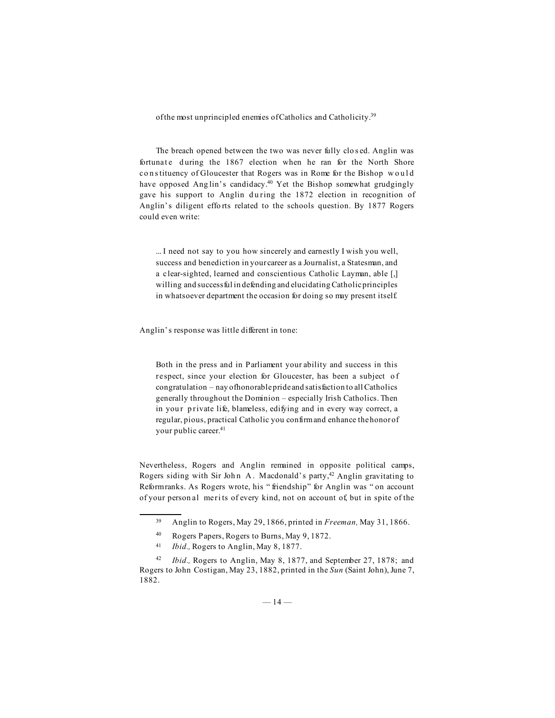of the most unprincipled enemies of Catholics and Catholicity.<sup>39</sup>

The breach opened between the two was never fully clo s ed. Anglin was fortunate during the 1867 election when he ran for the North Shore co n s tituency of Gloucester that Rogers was in Rome for the Bishop would have opposed Anglin's candidacy.<sup>40</sup> Yet the Bishop somewhat grudgingly gave his support to Anglin during the 1872 election in recognition of Anglin's diligent effo rts related to the schools question. By 1877 Rogers could even write:

... I need not say to you how sincerely and earnestly I wish you well, success and benediction in your career as a Journalist, a Statesman, and a clear-sighted, learned and conscientious Catholic Layman, able [,] willing and successful in defending and elucidating Catholic principles in whatsoever department the occasion for doing so may present itself.

Anglin's response was little different in tone:

Both in the press and in Parliament your ability and success in this respect, since your election for Gloucester, has been a subject o f congratulation – nay of honorable pride and satisfaction to all Catholics generally throughout the Dominion – especially Irish Catholics. Then in your private life, blameless, edifying and in every way correct, a regular, pious, practical Catholic you confirm and enhance the honor of your public career.<sup>41</sup>

Nevertheless, Rogers and Anglin remained in opposite political camps, Rogers siding with Sir John A. Macdonald's party,<sup>42</sup> Anglin gravitating to Reform ranks. As Rogers wrote, his " friendship" for Anglin was " on account of your person al meri ts of every kind, not on account of, but in spite of the

<sup>39</sup> Anglin to Rogers, May 29, 1866, printed in *Freeman,* May 31, 1866.

<sup>40</sup> Rogers Papers, Rogers to Burns, May 9, 1872.

<sup>41</sup> *Ibid.,* Rogers to Anglin, May 8, 1877.

<sup>42</sup> *Ibid.,* Rogers to Anglin, May 8, 1877, and September 27, 1878; and Rogers to John Costigan, May 23, 1882, printed in the *Sun* (Saint John), June 7, 1882.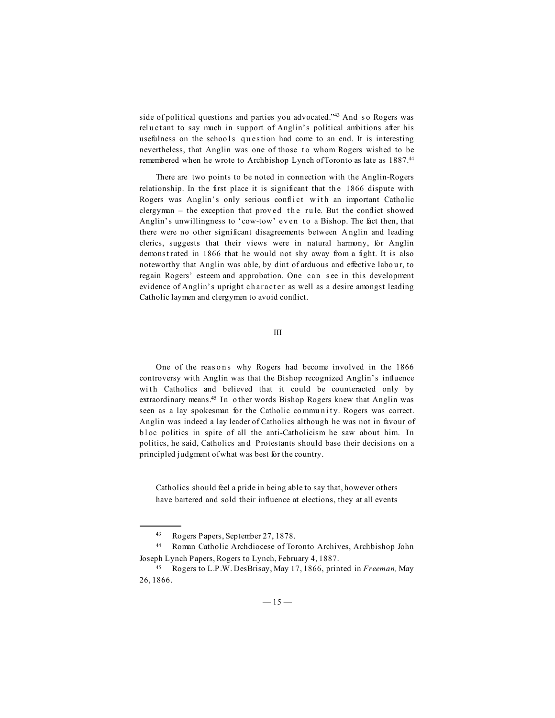side of political questions and parties you advocated."<sup>43</sup> And so Rogers was reluctant to say much in support of Anglin's political ambitions after his usefulness on the schools question had come to an end. It is interesting nevertheless, that Anglin was one of those to whom Rogers wished to be remembered when he wrote to Archbishop Lynch of Toronto as late as 1887.44

There are two points to be noted in connection with the Anglin-Rogers relationship. In the first place it is significant that the 1866 dispute with Rogers was Anglin's only serious conflict with an important Catholic clergyman  $-$  the exception that proved the rule. But the conflict showed Anglin's unwillingness to 'cow-tow' even to a Bishop. The fact then, that there were no other significant disagreements between A nglin and leading clerics, suggests that their views were in natural harmony, for Anglin demonstrated in 1866 that he would not shy away from a fight. It is also noteworthy that Anglin was able, by dint of arduous and effective labour, to regain Rogers' esteem and approbation. One can s ee in this development evidence of Anglin's upright ch aract er as well as a desire amongst leading Catholic laymen and clergymen to avoid conflict.

III

One of the reasons why Rogers had become involved in the 1866 controversy with Anglin was that the Bishop recognized Anglin's influence with Catholics and believed that it could be counteracted only by extraordinary means.<sup>45</sup> In o ther words Bishop Rogers knew that Anglin was seen as a lay spokesman for the Catholic community. Rogers was correct. Anglin was indeed a lay leader of Catholics although he was not in favour of b l oc politics in spite of all the anti-Catholicism he saw about him. In politics, he said, Catholics an d Protestants should base their decisions on a principled judgment of what was best for the country.

Catholics should feel a pride in being able to say that, however others have bartered and sold their influence at elections, they at all events

<sup>43</sup> Rogers Papers, September 27, 1878.

<sup>44</sup> Roman Catholic Archdiocese of Toronto Archives, Archbishop John Joseph Lynch Papers, Rogers to Lynch, February 4, 1887.

<sup>45</sup> Rogers to L.P.W. DesBrisay, May 17, 1866, printed in *Freeman,* May 26, 1866.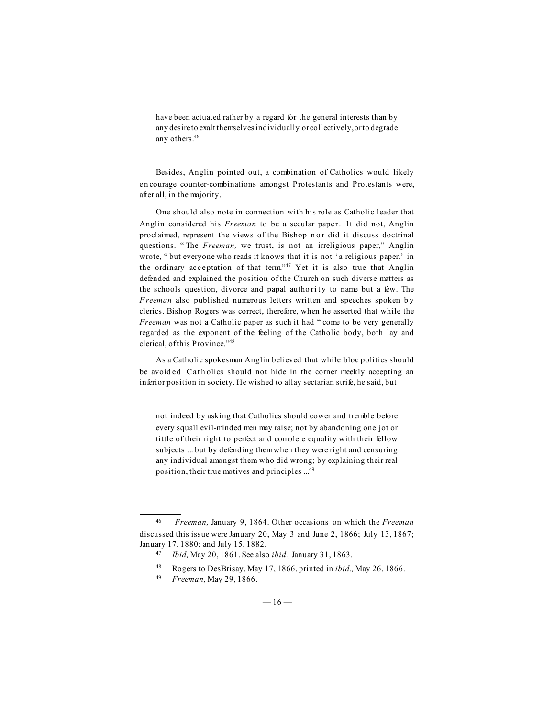have been actuated rather by a regard for the general interests than by any desire to exalt themselves individually or collectively, or to degrade any others.46

Besides, Anglin pointed out, a combination of Catholics would likely en courage counter-combinations amongst Protestants and Protestants were, after all, in the majority.

One should also note in connection with his role as Catholic leader that Anglin considered his *Freeman* to be a secular paper. It did not, Anglin proclaimed, represent the views of the Bishop n or did it discuss doctrinal questions. " The *Freeman,* we trust, is not an irreligious paper," Anglin wrote, " but everyone who reads it knows that it is not 'a religious paper,' in the ordinary acceptation of that term."<sup>47</sup> Yet it is also true that Anglin defended and explained the position of the Church on such diverse matters as the schools question, divorce and papal authority to name but a few. The *F reeman* also published numerous letters written and speeches spoken by clerics. Bishop Rogers was correct, therefore, when he asserted that while the *Freeman* was not a Catholic paper as such it had "come to be very generally regarded as the exponent of the feeling of the Catholic body, both lay and clerical, of this Province."48

As a Catholic spokesman Anglin believed that while bloc politics should be avoided Catholics should not hide in the corner meekly accepting an inferior position in society. He wished to allay sectarian strife, he said, but

not indeed by asking that Catholics should cower and tremble before every squall evil-minded men may raise; not by abandoning one jot or tittle of their right to perfect and complete equality with their fellow subjects ... but by defending them when they were right and censuring any individual amongst them who did wrong; by explaining their real position, their true motives and principles ...49

<sup>46</sup> *Freeman,* January 9, 1864. Other occasions on which the *Freeman* discussed this issue were January 20, May 3 and June 2, 1866; July 13, 1867; January 17, 1880; and July 15, 1882.

<sup>47</sup> *Ibid,* May 20, 1861. See also *ibid.,* January 31, 1863.

<sup>48</sup> Rogers to DesBrisay, May 17, 1866, printed in *ibid.,* May 26, 1866.

<sup>49</sup> *Freeman,* May 29, 1866.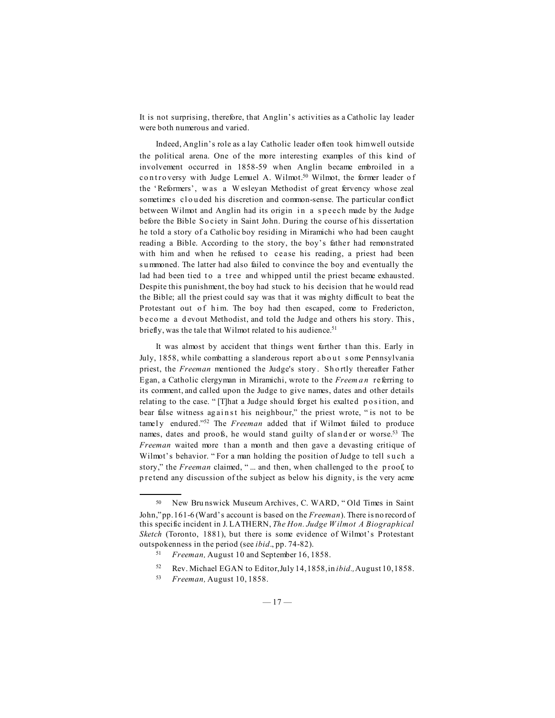It is not surprising, therefore, that Anglin's activities as a Catholic lay leader were both numerous and varied.

Indeed, Anglin's role as a lay Catholic leader often took him well outside the political arena. One of the more interesting examples of this kind of involvement occurred in 1858-59 when Anglin became embroiled in a controversy with Judge Lemuel A. Wilmot.<sup>50</sup> Wilmot, the former leader of the 'Reformers', w as a W esleyan Methodist of great fervency whose zeal sometimes clouded his discretion and common-sense. The particular conflict between Wilmot and Anglin had its origin in a speech made by the Judge before the Bible So ciety in Saint John. During the course of his dissertation he told a story of a Catholic boy residing in Miramichi who had been caught reading a Bible. According to the story, the boy's father had remonstrated with him and when he refused to cease his reading, a priest had been s u mmoned. The latter had also failed to convince the boy and eventually the lad had been tied to a tree and whipped until the priest became exhausted. Despite this punishment, the boy had stuck to his decision that he would read the Bible; all the priest could say was that it was mighty difficult to beat the Protestant out of him. The boy had then escaped, come to Fredericton, b eco me a d evout Methodist, and told the Judge and others his story. This , briefly, was the tale that Wilmot related to his audience.<sup>51</sup>

It was almost by accident that things went further than this. Early in July, 1858, while combatting a slanderous report about some Pennsylvania priest, the *Freeman* mentioned the Judge's story . Sh o rtly thereafter Father Egan, a Catholic clergyman in Miramichi, wrote to the *Freem a n* referring to its comment, and called upon the Judge to give names, dates and other details relating to the case. " [T]hat a Judge should forget his exalted position, and bear false witness against his neighbour," the priest wrote, "is not to be tamel y endured."52 The *Freeman* added that if Wilmot failed to produce names, dates and proofs, he would stand guilty of slander or worse.<sup>53</sup> The *Freeman* waited more than a month and then gave a devasting critique of Wilmot's behavior. "For a man holding the position of Judge to tell such a story," the *Freeman* claimed, "... and then, when challenged to the proof, to p retend any discussion of the subject as below his dignity, is the very acme

<sup>50</sup> New Bru nswick Museum Archives, C. WARD, " Old Times in Saint John," pp. 161-6 (Ward's account is based on the *Freeman*). There is no record of this specific incident in J. LATHERN, *The Hon. Judge W ilmot A Biographical Sketch* (Toronto, 1881), but there is some evidence of Wilmot's Protestant outspokenness in the period (see *ibid*., pp. 74-82).

<sup>51</sup> *Freeman,* August 10 and September 16, 1858.

<sup>52</sup> Rev. Michael EGAN to Editor, July 14, 1858, in *ibid.,* August 10, 1858.

<sup>53</sup> *Freeman,* August 10, 1858.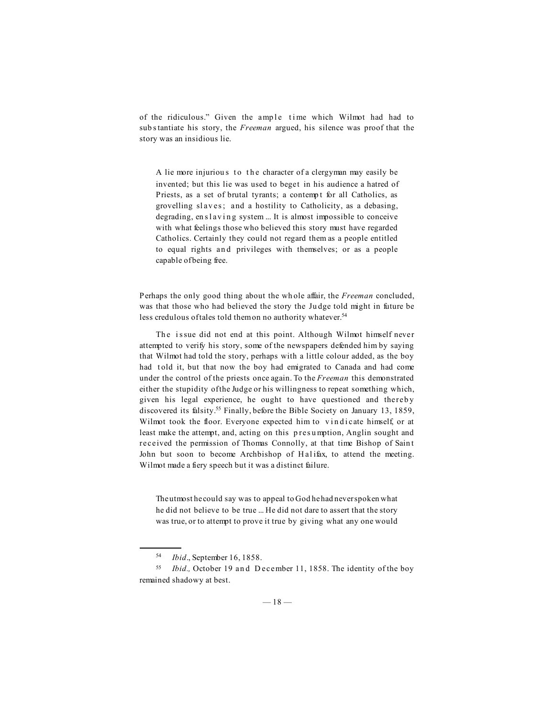of the ridiculous." Given the ample time which Wilmot had had to sub s tantiate his story, the *Freeman* argued, his silence was proof that the story was an insidious lie.

A lie more injurious to the character of a clergyman may easily be invented; but this lie was used to beget in his audience a hatred of Priests, as a set of brutal tyrants; a contempt for all Catholics, as grovelling slaves; and a hostility to Catholicity, as a debasing, degrading,  $en$  slaving system ... It is almost impossible to conceive with what feelings those who believed this story must have regarded Catholics. Certainly they could not regard them as a people entitled to equal rights and privileges with themselves; or as a people capable of being free.

Perhaps the only good thing about the wh ole affair, the *Freeman* concluded, was that those who had believed the story the Ju dge told might in future be less credulous of tales told them on no authority whatever.<sup>54</sup>

The issue did not end at this point. Although Wilmot himself never attempted to verify his story, some of the newspapers defended him by saying that Wilmot had told the story, perhaps with a little colour added, as the boy had t old it, but that now the boy had emigrated to Canada and had come under the control of the priests once again. To the *Freeman* this demonstrated either the stupidity of the Judge or his willingness to repeat something which, given his legal experience, he ought to have questioned and thereb y discovered its falsity.55 Finally, before the Bible Society on January 13, 1859, Wilmot took the floor. Everyone expected him to vindicate himself, or at least make the attempt, and, acting on this p res u mption, Anglin sought and received the permission of Thomas Connolly, at that time Bishop of Sain t John but soon to become Archbishop of Halifax, to attend the meeting. Wilmot made a fiery speech but it was a distinct failure.

The utmost he could say was to appeal to God he had never spoken what he did not believe to be true ... He did not dare to assert that the story was true, or to attempt to prove it true by giving what any one would

<sup>54</sup> *Ibid*., September 16, 1858.

<sup>55</sup> *Ibid.,* October 19 an d D ecember 11, 1858. The identity of the boy remained shadowy at best.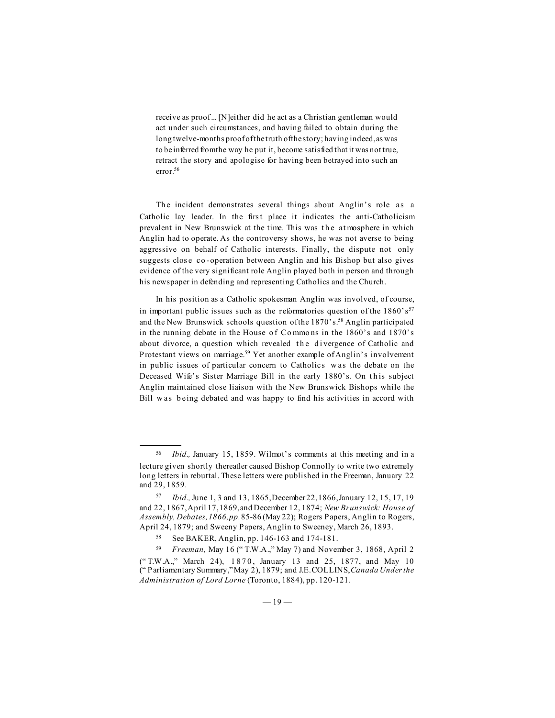receive as proof ... [N]either did he act as a Christian gentleman would act under such circumstances, and having failed to obtain during the long twelve-months proof of the truth of the story; having indeed, as was to be inferred from the way he put it, become satisfied that it was not true, retract the story and apologise for having been betrayed into such an error.56

The incident demonstrates several things about Anglin's role as a Catholic lay leader. In the first place it indicates the anti-Catholicism prevalent in New Brunswick at the time. This was the atmosphere in which Anglin had to operate. As the controversy shows, he was not averse to being aggressive on behalf of Catholic interests. Finally, the dispute not only suggests close co-operation between Anglin and his Bishop but also gives evidence of the very significant role Anglin played both in person and through his newspaper in defending and representing Catholics and the Church.

In his position as a Catholic spokesman Anglin was involved, of course, in important public issues such as the reformatories question of the  $1860's^{57}$ and the New Brunswick schools question of the 1870's.<sup>58</sup> Anglin participated in the running debate in the House of Commons in the 1860's and 1870's about divorce, a question which revealed the divergence of Catholic and Protestant views on marriage.<sup>59</sup> Yet another example of Anglin's involvement in public issues of particular concern to Catholics w as the debate on the Deceased Wife's Sister Marriage Bill in the early 1880's. On this subject Anglin maintained close liaison with the New Brunswick Bishops while the Bill was being debated and was happy to find his activities in accord with

<sup>56</sup> *Ibid.,* January 15, 1859. Wilmot's comments at this meeting and in a lecture given shortly thereafter caused Bishop Connolly to write two extremely long letters in rebuttal. These letters were published in the Freeman, January 22 and 29, 1859.

<sup>57</sup> *Ibid.,* June 1, 3 and 13, 1865, December 22, 1866, January 12, 15, 17, 19 and 22, 1867, April 17, 1869, and December 12, 1874; *New Brunswick: House of Assembly, Debates, 1866, pp.* 85-86 (May 22); Rogers Papers, Anglin to Rogers, April 24, 1879; and Sweeny Papers, Anglin to Sweeney, March 26, 1893.

<sup>58</sup> See BAKER, Anglin, pp. 146-163 and 174-181.

<sup>59</sup> *Freeman,* May 16 (" T.W.A.," May 7) and November 3, 1868, April 2 ("T.W.A.," March 24), 1870, January 13 and 25, 1877, and May 10 (" Parliamentary Summary," May 2), 1879; and J.E. COLLINS, *Canada Under the Administration of Lord Lorne* (Toronto, 1884), pp. 120-121.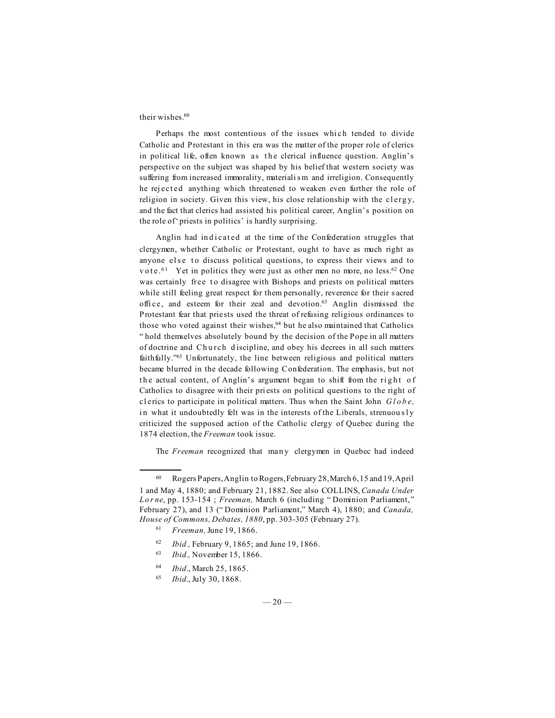## their wishes.<sup>60</sup>

Perhaps the most contentious of the issues which tended to divide Catholic and Protestant in this era was the matter of the proper role of clerics in political life, often known as the clerical influence question. Anglin's perspective on the subject was shaped by his belief that western society was suffering from increased immorality, materialism and irreligion. Consequently he rej ect ed anything which threatened to weaken even further the role of religion in society. Given this view, his close relationship with the clergy, and the fact that clerics had assisted his political career, Anglin's position on the role of 'priests in politics' is hardly surprising.

Anglin had indicated at the time of the Confederation struggles that clergymen, whether Catholic or Protestant, ought to have as much right as anyone else to discuss political questions, to express their views and to vote.<sup>61</sup> Yet in politics they were just as other men no more, no less.<sup>62</sup> One was certainly free to disagree with Bishops and priests on political matters while still feeling great respect for them personally, reverence for their s acred offi ce, and esteem for their zeal and devotion.63 Anglin dismissed the Protestant fear that priests used the threat of refusing religious ordinances to those who voted against their wishes,<sup>64</sup> but he also maintained that Catholics " hold themselves absolutely bound by the decision of the Pope in all matters of doctrine and Church discipline, and obey his decrees in all such matters faithfully."65 Unfortunately, the line between religious and political matters became blurred in the decade following Confederation. The emphasis, but not the actual content, of Anglin's argument began to shift from the right of Catholics to disagree with their pri ests on political questions to the right of cl erics to participate in political matters. Thus when the Saint John *Globe,* in what it undoubtedly felt was in the interests of the Liberals, strenuously criticized the supposed action of the Catholic clergy of Quebec during the 1874 election, the *Freeman* took issue.

The *Freeman* recognized that many clergymen in Quebec had indeed

- <sup>62</sup> *Ibid.,* February 9, 1865; and June 19, 1866.
- <sup>63</sup> *Ibid.,* November 15, 1866.
- <sup>64</sup> *Ibid*., March 25, 1865.

<sup>60</sup> Rogers Papers, Anglin to Rogers, February 28, March 6, 15 and 19, April 1 and May 4, 1880; and February 21, 1882. See also COLLINS, *Canada Under Lorne*, pp. 153-154 ; *Freeman,* March 6 (including " Dominion Parliament," February 27), and 13 (" Dominion Parliament," March 4), 1880; and *Canada, House of Commons, Debates, 1880*, pp. 303-305 (February 27).

<sup>61</sup> *Freeman,* June 19, 1866.

<sup>65</sup> *Ibid*., July 30, 1868.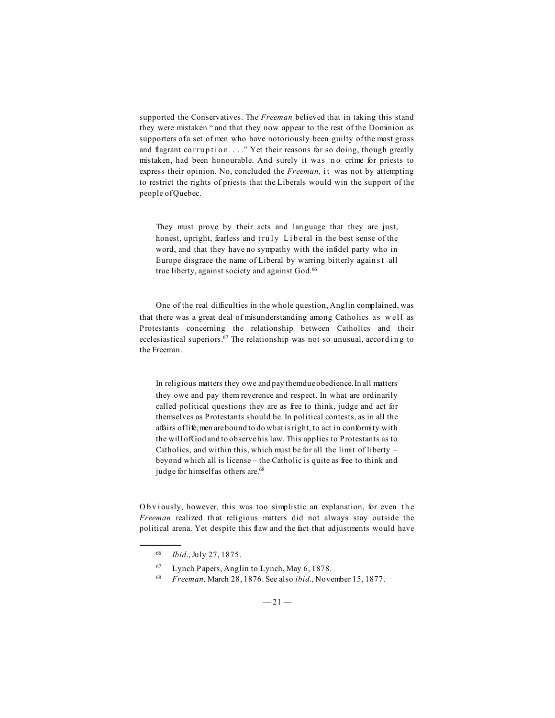supported the Conservatives. The *Freeman* believed that in taking this stand they were mistaken " and that they now appear to the rest of the Dominion as supporters of a set of men who have notoriously been guilty of the most gross and flagrant corruption ..." Yet their reasons for so doing, though greatly mistaken, had been honourable. And surely it was no crime for priests to express their opinion. No, concluded the *Freeman*, it was not by attempting to restrict the rights of priests that the Liberals would win the support of the people of Quebec.

They must prove by their acts and lan guage that they are just, honest, upright, fearless and truly Liberal in the best sense of the word, and that they have no sympathy with the infidel party who in Europe disgrace the name of Liberal by warring bitterly against all true liberty, against society and against God.66

One of the real difficulties in the whole question, Anglin complained, was that there was a great deal of misunderstanding among Catholics as well as Protestants concerning the relationship between Catholics and their ecclesiastical superiors. $67$  The relationship was not so unusual, according to the Freeman.

In religious matters they owe and pay them due obedience. In all matters they owe and pay them reverence and respect. In what are ordinarily called political questions they are as free to think, judge and act for themselves as Protestants should be. In political contests, as in all the affairs of life, men are bound to do what is right, to act in conformity with the will of God and to observe his law. This applies to Protestants as to Catholics, and within this, which must be for all the limit of liberty – beyond which all is license – the Catholic is quite as free to think and judge for himself as others are.<sup>68</sup>

Obviously, however, this was too simplistic an explanation, for even the *Freeman* realized th at religious matters did not always stay outside the political arena. Yet despite this flaw and the fact that adjustments would have

<sup>66</sup> *Ibid*., July 27, 1875.

<sup>67</sup> Lynch Papers, Anglin to Lynch, May 6, 1878.

<sup>68</sup> *Freeman,* March 28, 1876. See also *ibid*., November 15, 1877.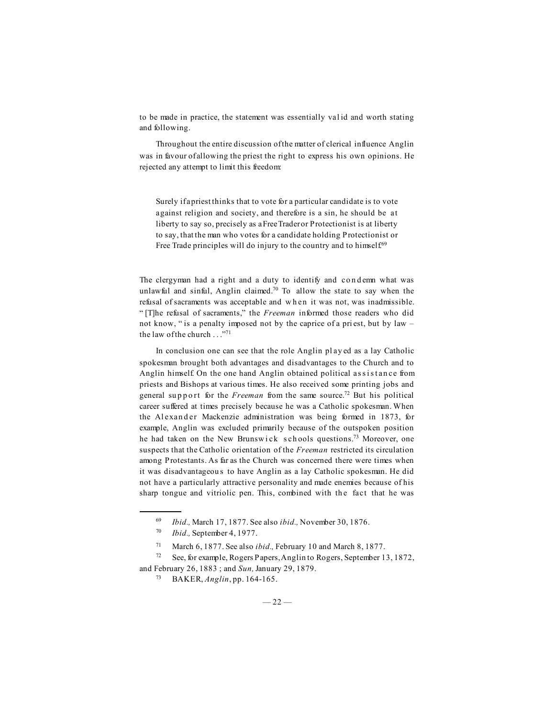to be made in practice, the statement was essentially val id and worth stating and following.

Throughout the entire discussion of the matter of clerical influence Anglin was in favour of allowing the priest the right to express his own opinions. He rejected any attempt to limit this freedom:

Surely if a priest thinks that to vote for a particular candidate is to vote against religion and society, and therefore is a sin, he should be at liberty to say so, precisely as a Free Trader or Protectionist is at liberty to say, that the man who votes for a candidate holding Protectionist or Free Trade principles will do injury to the country and to himself.<sup>69</sup>

The clergyman had a right and a duty to identify and condemn what was unlawful and sinful, Anglin claimed.<sup>70</sup> To allow the state to say when the refusal of sacraments was acceptable and w h en it was not, was inadmissible. " [T]he refusal of sacraments," the *Freeman* informed those readers who did not know, " is a penalty imposed not by the caprice of a pri est, but by law – the law of the church . . . "71

In conclusion one can see that the role Anglin pl ay ed as a lay Catholic spokesman brought both advantages and disadvantages to the Church and to Anglin himself. On the one hand Anglin obtained political assistance from priests and Bishops at various times. He also received some printing jobs and general support for the *Freeman* from the same source.<sup>72</sup> But his political career suffered at times precisely because he was a Catholic spokesman. When the Alexander Mackenzie administration was being formed in 1873, for example, Anglin was excluded primarily because of the outspoken position he had taken on the New Brunswick schools questions.<sup>73</sup> Moreover, one suspects that the Catholic orientation of the *Freeman* restricted its circulation among Protestants. As far as the Church was concerned there were times when it was disadvantageou s to have Anglin as a lay Catholic spokesman. He did not have a particularly attractive personality and made enemies because of his sharp tongue and vitriolic pen. This, combined with the fact that he was

<sup>69</sup> *Ibid.,* March 17, 1877. See also *ibid.,* November 30, 1876.

<sup>70</sup> *Ibid.,* September 4, 1977.

<sup>71</sup> March 6, 1877. See also *ibid.,* February 10 and March 8, 1877.

<sup>72</sup> See, for example, Rogers Papers, Anglin to Rogers, September 13, 1872, and February 26, 1883 ; and *Sun,* January 29, 1879.

<sup>73</sup> BAKER, *Anglin*, pp. 164-165.